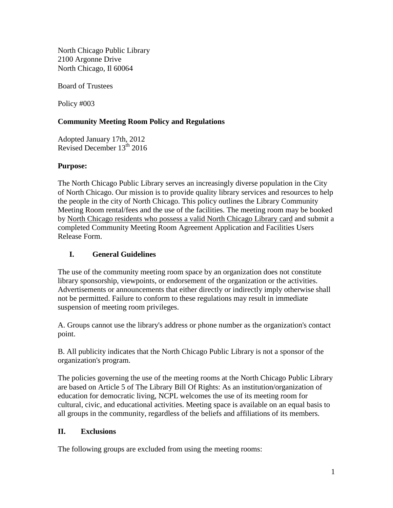North Chicago Public Library 2100 Argonne Drive North Chicago, Il 60064

Board of Trustees

Policy #003

#### **Community Meeting Room Policy and Regulations**

Adopted January 17th, 2012 Revised December 13<sup>th</sup> 2016

#### **Purpose:**

The North Chicago Public Library serves an increasingly diverse population in the City of North Chicago. Our mission is to provide quality library services and resources to help the people in the city of North Chicago. This policy outlines the Library Community Meeting Room rental/fees and the use of the facilities. The meeting room may be booked by North Chicago residents who possess a valid North Chicago Library card and submit a completed Community Meeting Room Agreement Application and Facilities Users Release Form.

### **I. General Guidelines**

The use of the community meeting room space by an organization does not constitute library sponsorship, viewpoints, or endorsement of the organization or the activities. Advertisements or announcements that either directly or indirectly imply otherwise shall not be permitted. Failure to conform to these regulations may result in immediate suspension of meeting room privileges.

A. Groups cannot use the library's address or phone number as the organization's contact point.

B. All publicity indicates that the North Chicago Public Library is not a sponsor of the organization's program.

The policies governing the use of the meeting rooms at the North Chicago Public Library are based on Article 5 of The Library Bill Of Rights: As an institution/organization of education for democratic living, NCPL welcomes the use of its meeting room for cultural, civic, and educational activities. Meeting space is available on an equal basis to all groups in the community, regardless of the beliefs and affiliations of its members.

#### **II. Exclusions**

The following groups are excluded from using the meeting rooms: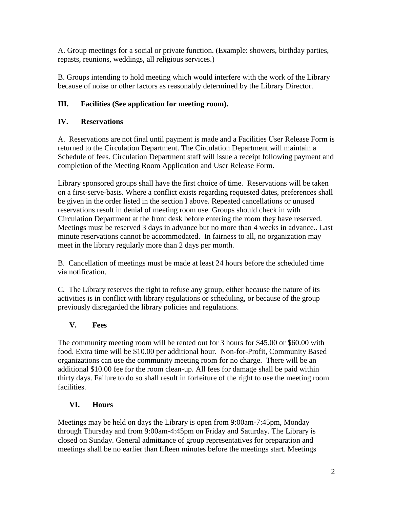A. Group meetings for a social or private function. (Example: showers, birthday parties, repasts, reunions, weddings, all religious services.)

B. Groups intending to hold meeting which would interfere with the work of the Library because of noise or other factors as reasonably determined by the Library Director.

## **III. Facilities (See application for meeting room).**

### **IV. Reservations**

A. Reservations are not final until payment is made and a Facilities User Release Form is returned to the Circulation Department. The Circulation Department will maintain a Schedule of fees. Circulation Department staff will issue a receipt following payment and completion of the Meeting Room Application and User Release Form.

Library sponsored groups shall have the first choice of time. Reservations will be taken on a first-serve-basis. Where a conflict exists regarding requested dates, preferences shall be given in the order listed in the section I above. Repeated cancellations or unused reservations result in denial of meeting room use. Groups should check in with Circulation Department at the front desk before entering the room they have reserved. Meetings must be reserved 3 days in advance but no more than 4 weeks in advance.. Last minute reservations cannot be accommodated. In fairness to all, no organization may meet in the library regularly more than 2 days per month.

B. Cancellation of meetings must be made at least 24 hours before the scheduled time via notification.

C. The Library reserves the right to refuse any group, either because the nature of its activities is in conflict with library regulations or scheduling, or because of the group previously disregarded the library policies and regulations.

#### **V. Fees**

The community meeting room will be rented out for 3 hours for \$45.00 or \$60.00 with food. Extra time will be \$10.00 per additional hour. Non-for-Profit, Community Based organizations can use the community meeting room for no charge. There will be an additional \$10.00 fee for the room clean-up. All fees for damage shall be paid within thirty days. Failure to do so shall result in forfeiture of the right to use the meeting room facilities.

## **VI. Hours**

Meetings may be held on days the Library is open from 9:00am-7:45pm, Monday through Thursday and from 9:00am-4:45pm on Friday and Saturday. The Library is closed on Sunday. General admittance of group representatives for preparation and meetings shall be no earlier than fifteen minutes before the meetings start. Meetings